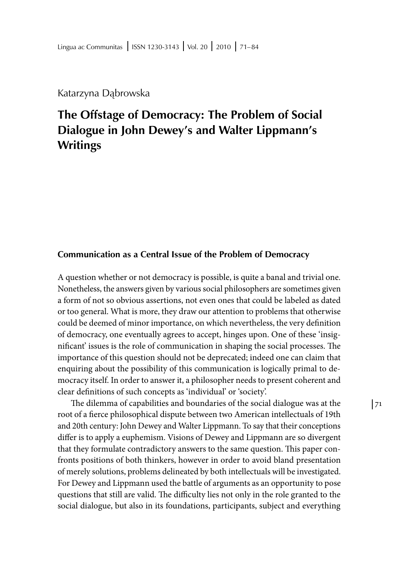Katarzyna Dąbrowska

# **The Offstage of Democracy: The Problem of Social Dialogue in John Dewey's and Walter Lippmann's Writings**

### **Communication as a Central Issue of the Problem of Democracy**

A question whether or not democracy is possible, is quite a banal and trivial one. Nonetheless, the answers given by various social philosophers are sometimes given a form of not so obvious assertions, not even ones that could be labeled as dated or too general. What is more, they draw our attention to problems that otherwise could be deemed of minor importance, on which nevertheless, the very definition of democracy, one eventually agrees to accept, hinges upon. One of these 'insignificant' issues is the role of communication in shaping the social processes. The importance of this question should not be deprecated; indeed one can claim that enquiring about the possibility of this communication is logically primal to democracy itself. In order to answer it, a philosopher needs to present coherent and clear definitions of such concepts as 'individual' or 'society'.

The dilemma of capabilities and boundaries of the social dialogue was at the root of a fierce philosophical dispute between two American intellectuals of 19th and 20th century: John Dewey and Walter Lippmann. To say that their conceptions differ is to apply a euphemism. Visions of Dewey and Lippmann are so divergent that they formulate contradictory answers to the same question. This paper confronts positions of both thinkers, however in order to avoid bland presentation of merely solutions, problems delineated by both intellectuals will be investigated. For Dewey and Lippmann used the battle of arguments as an opportunity to pose questions that still are valid. The difficulty lies not only in the role granted to the social dialogue, but also in its foundations, participants, subject and everything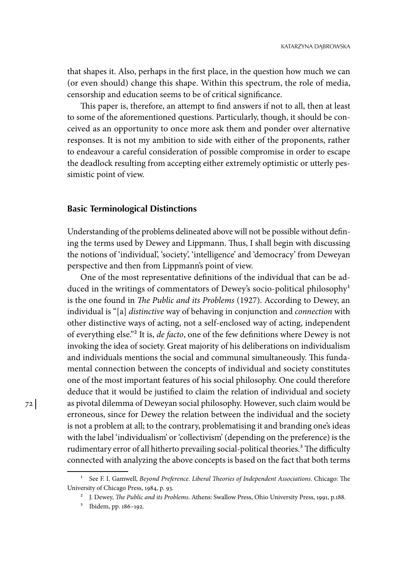that shapes it. Also, perhaps in the first place, in the question how much we can (or even should) change this shape. Within this spectrum, the role of media, censorship and education seems to be of critical significance.

This paper is, therefore, an attempt to find answers if not to all, then at least to some of the aforementioned questions. Particularly, though, it should be conceived as an opportunity to once more ask them and ponder over alternative responses. It is not my ambition to side with either of the proponents, rather to endeavour a careful consideration of possible compromise in order to escape the deadlock resulting from accepting either extremely optimistic or utterly pessimistic point of view.

#### **Basic Terminological Distinctions**

Understanding of the problems delineated above will not be possible without defining the terms used by Dewey and Lippmann. Thus, I shall begin with discussing the notions of 'individual', 'society', 'intelligence' and 'democracy' from Deweyan perspective and then from Lippmann's point of view.

One of the most representative definitions of the individual that can be adduced in the writings of commentators of Dewey's socio-political philosophy<sup>1</sup> is the one found in *The Public and its Problems* (1927). According to Dewey, an individual is "[a] *distinctive* way of behaving in conjunction and *connection* with other distinctive ways of acting, not a self-enclosed way of acting, independent of everything else."2 It is, *de facto*, one of the few definitions where Dewey is not invoking the idea of society. Great majority of his deliberations on individualism and individuals mentions the social and communal simultaneously. This fundamental connection between the concepts of individual and society constitutes one of the most important features of his social philosophy. One could therefore deduce that it would be justified to claim the relation of individual and society as pivotal dilemma of Deweyan social philosophy. However, such claim would be erroneous, since for Dewey the relation between the individual and the society is not a problem at all; to the contrary, problematising it and branding one's ideas with the label 'individualism' or 'collectivism' (depending on the preference) is the rudimentary error of all hitherto prevailing social-political theories.<sup>3</sup> The difficulty connected with analyzing the above concepts is based on the fact that both terms

<sup>1</sup> See F. I. Gamwell, *Beyond Preference. Liberal Theories of Independent Associations*. Chicago: The University of Chicago Press, 1984, p. 93.

<sup>2</sup> J. Dewey, *The Public and its Problems*. Athens: Swallow Press, Ohio University Press, 1991, p.188.

<sup>3</sup> Ibidem, pp. 186–192.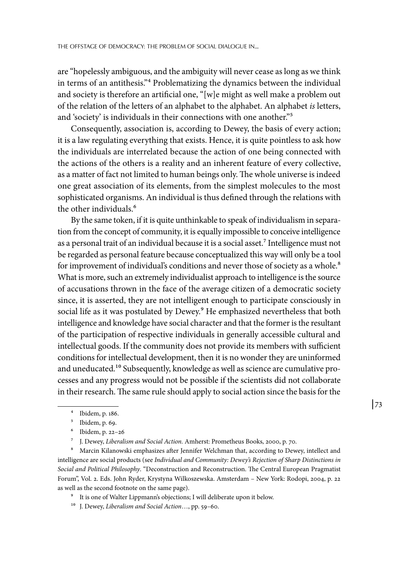are "hopelessly ambiguous, and the ambiguity will never cease as long as we think in terms of an antithesis."4 Problematizing the dynamics between the individual and society is therefore an artificial one, "[w]e might as well make a problem out of the relation of the letters of an alphabet to the alphabet. An alphabet *is* letters, and 'society' is individuals in their connections with one another."5

Consequently, association is, according to Dewey, the basis of every action; it is a law regulating everything that exists. Hence, it is quite pointless to ask how the individuals are interrelated because the action of one being connected with the actions of the others is a reality and an inherent feature of every collective, as a matter of fact not limited to human beings only. The whole universe is indeed one great association of its elements, from the simplest molecules to the most sophisticated organisms. An individual is thus defined through the relations with the other individuals.<sup>6</sup>

By the same token, if it is quite unthinkable to speak of individualism in separation from the concept of community, it is equally impossible to conceive intelligence as a personal trait of an individual because it is a social asset.<sup>7</sup> Intelligence must not be regarded as personal feature because conceptualized this way will only be a tool for improvement of individual's conditions and never those of society as a whole.<sup>8</sup> What is more, such an extremely individualist approach to intelligence is the source of accusations thrown in the face of the average citizen of a democratic society since, it is asserted, they are not intelligent enough to participate consciously in social life as it was postulated by Dewey.<sup>9</sup> He emphasized nevertheless that both intelligence and knowledge have social character and that the former is the resultant of the participation of respective individuals in generally accessible cultural and intellectual goods. If the community does not provide its members with sufficient conditions for intellectual development, then it is no wonder they are uninformed and uneducated.<sup>10</sup> Subsequently, knowledge as well as science are cumulative processes and any progress would not be possible if the scientists did not collaborate in their research. The same rule should apply to social action since the basis for the

8 Marcin Kilanowski emphasizes after Jennifer Welchman that, according to Dewey, intellect and intelligence are social products (see *Individual and Community: Dewey's Rejection of Sharp Distinctions in Social and Political Philosophy*. "Deconstruction and Reconstruction. The Central European Pragmatist Forum", Vol. 2. Eds. John Ryder, Krystyna Wilkoszewska. Amsterdam – New York: Rodopi, 2004, p. 22 as well as the second footnote on the same page).

9 It is one of Walter Lippmann's objections; I will deliberate upon it below.

<sup>4</sup> Ibidem, p. 186.

<sup>5</sup> Ibidem, p. 69.

<sup>6</sup> Ibidem, p. 22–26

<sup>7</sup> J. Dewey, *Liberalism and Social Action.* Amherst: Prometheus Books, 2000, p. 70.

<sup>10</sup> J. Dewey, *Liberalism and Social Action*…, pp. 59–60.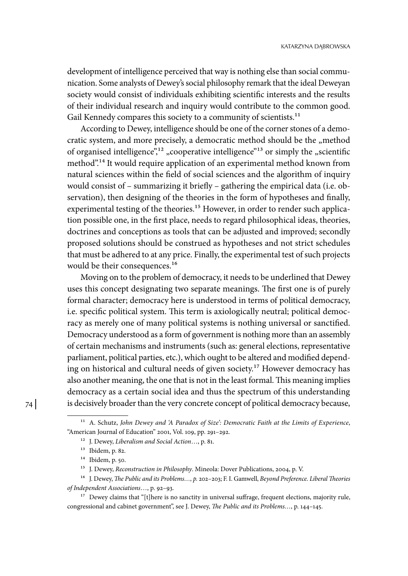development of intelligence perceived that way is nothing else than social communication. Some analysts of Dewey's social philosophy remark that the ideal Deweyan society would consist of individuals exhibiting scientific interests and the results of their individual research and inquiry would contribute to the common good. Gail Kennedy compares this society to a community of scientists.<sup>11</sup>

According to Dewey, intelligence should be one of the corner stones of a democratic system, and more precisely, a democratic method should be the "method of organised intelligence",<sup>12</sup> "cooperative intelligence"<sup>13</sup> or simply the "scientific method".14 It would require application of an experimental method known from natural sciences within the field of social sciences and the algorithm of inquiry would consist of – summarizing it briefly – gathering the empirical data (i.e. observation), then designing of the theories in the form of hypotheses and finally, experimental testing of the theories.<sup>15</sup> However, in order to render such application possible one, in the first place, needs to regard philosophical ideas, theories, doctrines and conceptions as tools that can be adjusted and improved; secondly proposed solutions should be construed as hypotheses and not strict schedules that must be adhered to at any price. Finally, the experimental test of such projects would be their consequences.<sup>16</sup>

Moving on to the problem of democracy, it needs to be underlined that Dewey uses this concept designating two separate meanings. The first one is of purely formal character; democracy here is understood in terms of political democracy, i.e. specific political system. This term is axiologically neutral; political democracy as merely one of many political systems is nothing universal or sanctified. Democracy understood as a form of government is nothing more than an assembly of certain mechanisms and instruments (such as: general elections, representative parliament, political parties, etc.), which ought to be altered and modified depending on historical and cultural needs of given society.17 However democracy has also another meaning, the one that is not in the least formal. This meaning implies democracy as a certain social idea and thus the spectrum of this understanding is decisively broader than the very concrete concept of political democracy because,

<sup>11</sup> A. Schutz, *John Dewey and 'A Paradox of Size': Democratic Faith at the Limits of Experience*, "American Journal of Education" 2001, Vol. 109, pp. 291–292.

<sup>12</sup> J. Dewey, *Liberalism and Social Action*…, p. 81.

<sup>13</sup> Ibidem, p. 82.

<sup>14</sup> Ibidem, p. 50.

<sup>15</sup> J. Dewey, *Reconstruction in Philosophy*. Mineola: Dover Publications, 2004, p. V.

<sup>16</sup> J. Dewey, *The Public and its Problems…, p.* 202–203; F. I. Gamwell, *Beyond Preference. Liberal Theories of Independent Associations*…, p. 92–93.

<sup>&</sup>lt;sup>17</sup> Dewey claims that "[t]here is no sanctity in universal suffrage, frequent elections, majority rule, congressional and cabinet government", see J. Dewey, *The Public and its Problems…*, p. 144–145.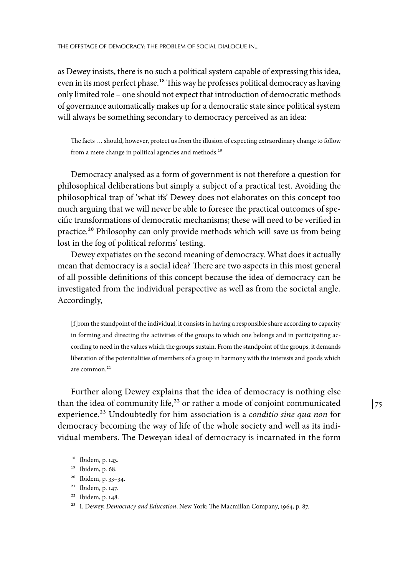as Dewey insists, there is no such a political system capable of expressing this idea, even in its most perfect phase.<sup>18</sup> This way he professes political democracy as having only limited role – one should not expect that introduction of democratic methods of governance automatically makes up for a democratic state since political system will always be something secondary to democracy perceived as an idea:

The facts … should, however, protect us from the illusion of expecting extraordinary change to follow from a mere change in political agencies and methods.19

Democracy analysed as a form of government is not therefore a question for philosophical deliberations but simply a subject of a practical test. Avoiding the philosophical trap of 'what ifs' Dewey does not elaborates on this concept too much arguing that we will never be able to foresee the practical outcomes of specific transformations of democratic mechanisms; these will need to be verified in practice.20 Philosophy can only provide methods which will save us from being lost in the fog of political reforms' testing.

Dewey expatiates on the second meaning of democracy. What does it actually mean that democracy is a social idea? There are two aspects in this most general of all possible definitions of this concept because the idea of democracy can be investigated from the individual perspective as well as from the societal angle. Accordingly,

[f]rom the standpoint of the individual, it consists in having a responsible share according to capacity in forming and directing the activities of the groups to which one belongs and in participating according to need in the values which the groups sustain. From the standpoint of the groups, it demands liberation of the potentialities of members of a group in harmony with the interests and goods which are common.21

Further along Dewey explains that the idea of democracy is nothing else than the idea of community life, $22$  or rather a mode of conjoint communicated experience.23 Undoubtedly for him association is a *conditio sine qua non* for democracy becoming the way of life of the whole society and well as its individual members. The Deweyan ideal of democracy is incarnated in the form

<sup>18</sup> Ibidem, p. 143.

<sup>19</sup> Ibidem, p. 68.

<sup>20</sup> Ibidem, p. 33–34.

<sup>21</sup> Ibidem, p. 147.

<sup>22</sup> Ibidem, p. 148.

<sup>23</sup> I. Dewey, *Democracy and Education*, New York: The Macmillan Company, 1964, p. 87.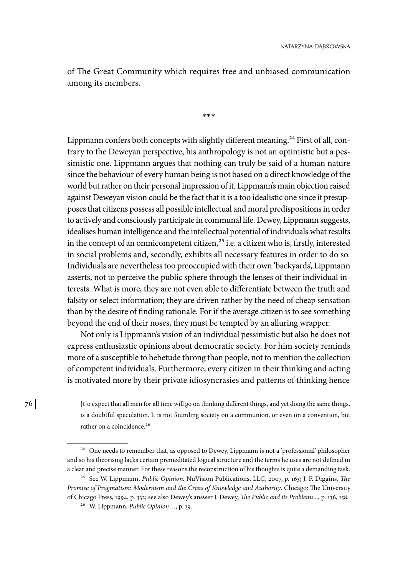of The Great Community which requires free and unbiased communication among its members.

**\*\*\***

Lippmann confers both concepts with slightly different meaning.<sup>24</sup> First of all, contrary to the Deweyan perspective, his anthropology is not an optimistic but a pessimistic one. Lippmann argues that nothing can truly be said of a human nature since the behaviour of every human being is not based on a direct knowledge of the world but rather on their personal impression of it. Lippmann's main objection raised against Deweyan vision could be the fact that it is a too idealistic one since it presupposes that citizens possess all possible intellectual and moral predispositions in order to actively and consciously participate in communal life. Dewey, Lippmann suggests, idealises human intelligence and the intellectual potential of individuals what results in the concept of an omnicompetent citizen,<sup>25</sup> i.e. a citizen who is, firstly, interested in social problems and, secondly, exhibits all necessary features in order to do so. Individuals are nevertheless too preoccupied with their own 'backyards', Lippmann asserts, not to perceive the public sphere through the lenses of their individual interests. What is more, they are not even able to differentiate between the truth and falsity or select information; they are driven rather by the need of cheap sensation than by the desire of finding rationale. For if the average citizen is to see something beyond the end of their noses, they must be tempted by an alluring wrapper.

Not only is Lippmann's vision of an individual pessimistic but also he does not express enthusiastic opinions about democratic society. For him society reminds more of a susceptible to hebetude throng than people, not to mention the collection of competent individuals. Furthermore, every citizen in their thinking and acting is motivated more by their private idiosyncrasies and patterns of thinking hence

[t]o expect that all men for all time will go on thinking different things, and yet doing the same things, is a doubtful speculation. It is not founding society on a communion, or even on a convention, but rather on a coincidence.<sup>26</sup>

<sup>&</sup>lt;sup>24</sup> One needs to remember that, as opposed to Dewey, Lippmann is not a 'professional' philosopher and so his theorising lacks certain premeditated logical structure and the terms he uses are not defined in a clear and precise manner. For these reasons the reconstruction of his thoughts is quite a demanding task.

<sup>25</sup> See W. Lippmann, *Public Opinion.* NuVision Publications, LLC, 2007, p. 163; J. P. Diggins, *The Promise of Pragmatism: Modernism and the Crisis of Knowledge and Authority*. Chicago: The University of Chicago Press, 1994, p. 332; see also Dewey's answer J. Dewey, *The Public and its Problems*..., p. 136, 158.

<sup>26</sup> W. Lippmann, *Public Opinion*…, p. 19.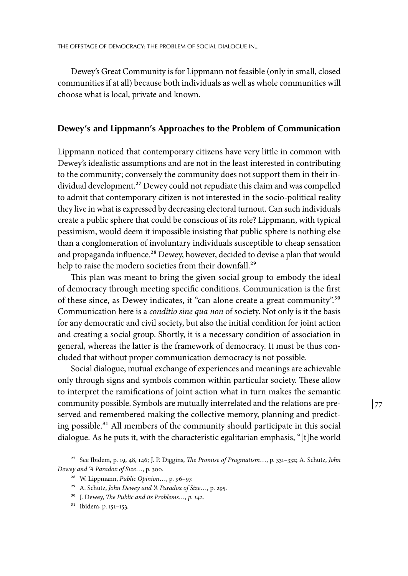Dewey's Great Community is for Lippmann not feasible (only in small, closed communities if at all) because both individuals as well as whole communities will choose what is local, private and known.

#### **Dewey's and Lippmann's Approaches to the Problem of Communication**

Lippmann noticed that contemporary citizens have very little in common with Dewey's idealistic assumptions and are not in the least interested in contributing to the community; conversely the community does not support them in their individual development.<sup>27</sup> Dewey could not repudiate this claim and was compelled to admit that contemporary citizen is not interested in the socio-political reality they live in what is expressed by decreasing electoral turnout. Can such individuals create a public sphere that could be conscious of its role? Lippmann, with typical pessimism, would deem it impossible insisting that public sphere is nothing else than a conglomeration of involuntary individuals susceptible to cheap sensation and propaganda influence.<sup>28</sup> Dewey, however, decided to devise a plan that would help to raise the modern societies from their downfall.<sup>29</sup>

This plan was meant to bring the given social group to embody the ideal of democracy through meeting specific conditions. Communication is the first of these since, as Dewey indicates, it "can alone create a great community".30 Communication here is a *conditio sine qua non* of society. Not only is it the basis for any democratic and civil society, but also the initial condition for joint action and creating a social group. Shortly, it is a necessary condition of association in general, whereas the latter is the framework of democracy. It must be thus concluded that without proper communication democracy is not possible.

Social dialogue, mutual exchange of experiences and meanings are achievable only through signs and symbols common within particular society. These allow to interpret the ramifications of joint action what in turn makes the semantic community possible. Symbols are mutually interrelated and the relations are pre‑ served and remembered making the collective memory, planning and predicting possible.31 All members of the community should participate in this social dialogue. As he puts it, with the characteristic egalitarian emphasis, "[t]he world

<sup>27</sup> See Ibidem, p. 19, 48, 146; J. P. Diggins, *The Promise of Pragmatism*…, p. 331–332; A. Schutz, *John Dewey and 'A Paradox of Size*…, p. 300.

<sup>28</sup> W. Lippmann, *Public Opinion*…, p. 96–97.

<sup>29</sup> A. Schutz, *John Dewey and 'A Paradox of Size*…, p. 295.

<sup>30</sup> J. Dewey, *The Public and its Problems…, p. 142.*

<sup>31</sup> Ibidem, p. 151–153.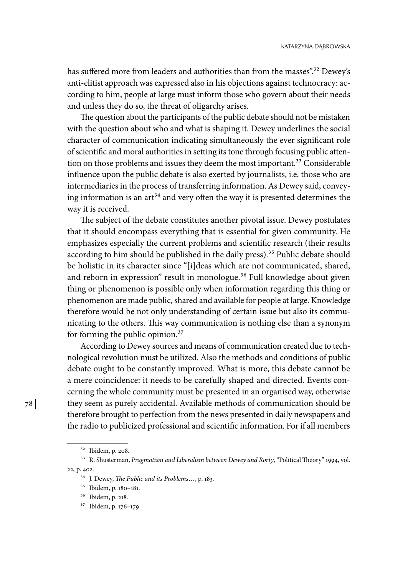has suffered more from leaders and authorities than from the masses".<sup>32</sup> Dewey's anti-elitist approach was expressed also in his objections against technocracy: according to him, people at large must inform those who govern about their needs and unless they do so, the threat of oligarchy arises.

The question about the participants of the public debate should not be mistaken with the question about who and what is shaping it. Dewey underlines the social character of communication indicating simultaneously the ever significant role of scientific and moral authorities in setting its tone through focusing public attention on those problems and issues they deem the most important.<sup>33</sup> Considerable influence upon the public debate is also exerted by journalists, i.e. those who are intermediaries in the process of transferring information. As Dewey said, conveying information is an  $art^{34}$  and very often the way it is presented determines the way it is received.

The subject of the debate constitutes another pivotal issue. Dewey postulates that it should encompass everything that is essential for given community. He emphasizes especially the current problems and scientific research (their results according to him should be published in the daily press).<sup>35</sup> Public debate should be holistic in its character since "[i]deas which are not communicated, shared, and reborn in expression" result in monologue.<sup>36</sup> Full knowledge about given thing or phenomenon is possible only when information regarding this thing or phenomenon are made public, shared and available for people at large. Knowledge therefore would be not only understanding of certain issue but also its communicating to the others. This way communication is nothing else than a synonym for forming the public opinion.37

According to Dewey sources and means of communication created due to technological revolution must be utilized. Also the methods and conditions of public debate ought to be constantly improved. What is more, this debate cannot be a mere coincidence: it needs to be carefully shaped and directed. Events concerning the whole community must be presented in an organised way, otherwise they seem as purely accidental. Available methods of communication should be therefore brought to perfection from the news presented in daily newspapers and the radio to publicized professional and scientific information. For if all members

<sup>32</sup> Ibidem, p. 208.

<sup>&</sup>lt;sup>33</sup> R. Shusterman, *Pragmatism and Liberalism between Dewey and Rorty*, "Political Theory" 1994, vol. 22, p. 402.

<sup>34</sup> J. Dewey, *The Public and its Problems*…, p. 183.

<sup>35</sup> Ibidem, p. 180–181.

<sup>36</sup> Ibidem, p. 218.

<sup>37</sup> Ibidem, p. 176–179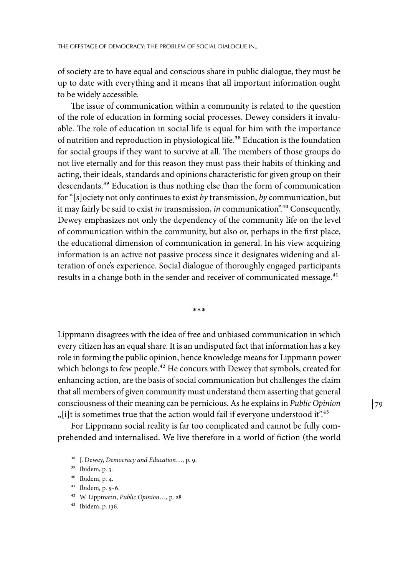of society are to have equal and conscious share in public dialogue, they must be up to date with everything and it means that all important information ought to be widely accessible.

The issue of communication within a community is related to the question of the role of education in forming social processes. Dewey considers it invaluable. The role of education in social life is equal for him with the importance of nutrition and reproduction in physiological life.38 Education is the foundation for social groups if they want to survive at all. The members of those groups do not live eternally and for this reason they must pass their habits of thinking and acting, their ideals, standards and opinions characteristic for given group on their descendants.39 Education is thus nothing else than the form of communication for "[s]ociety not only continues to exist *by* transmission, *by* communication, but it may fairly be said to exist *in* transmission, *in* communication".40 Consequently, Dewey emphasizes not only the dependency of the community life on the level of communication within the community, but also or, perhaps in the first place, the educational dimension of communication in general. In his view acquiring information is an active not passive process since it designates widening and alteration of one's experience. Social dialogue of thoroughly engaged participants results in a change both in the sender and receiver of communicated message.<sup>41</sup>

**\*\*\***

Lippmann disagrees with the idea of free and unbiased communication in which every citizen has an equal share. It is an undisputed fact that information has a key role in forming the public opinion, hence knowledge means for Lippmann power which belongs to few people.<sup>42</sup> He concurs with Dewey that symbols, created for enhancing action, are the basis of social communication but challenges the claim that all members of given community must understand them asserting that general consciousness of their meaning can be pernicious. As he explains in *Public Opinion* "[i]t is sometimes true that the action would fail if everyone understood it".<sup>43</sup>

For Lippmann social reality is far too complicated and cannot be fully comprehended and internalised. We live therefore in a world of fiction (the world

<sup>38</sup> J. Dewey, *Democracy and Education*…, p. 9.

<sup>39</sup> Ibidem, p. 3.

<sup>40</sup> Ibidem, p. 4.

<sup>41</sup> Ibidem, p. 5–6.

<sup>42</sup> W. Lippmann, *Public Opinion*…, p. 28

<sup>43</sup> Ibidem, p. 136.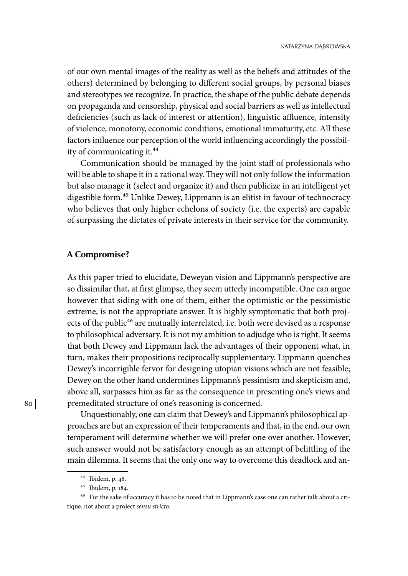of our own mental images of the reality as well as the beliefs and attitudes of the others) determined by belonging to different social groups, by personal biases and stereotypes we recognize. In practice, the shape of the public debate depends on propaganda and censorship, physical and social barriers as well as intellectual deficiencies (such as lack of interest or attention), linguistic affluence, intensity of violence, monotony, economic conditions, emotional immaturity, etc. All these factors influence our perception of the world influencing accordingly the possibility of communicating it.44

Communication should be managed by the joint staff of professionals who will be able to shape it in a rational way. They will not only follow the information but also manage it (select and organize it) and then publicize in an intelligent yet digestible form.45 Unlike Dewey, Lippmann is an elitist in favour of technocracy who believes that only higher echelons of society (i.e. the experts) are capable of surpassing the dictates of private interests in their service for the community.

#### **A Compromise?**

As this paper tried to elucidate, Deweyan vision and Lippmann's perspective are so dissimilar that, at first glimpse, they seem utterly incompatible. One can argue however that siding with one of them, either the optimistic or the pessimistic extreme, is not the appropriate answer. It is highly symptomatic that both projects of the public<sup>46</sup> are mutually interrelated, i.e. both were devised as a response to philosophical adversary. It is not my ambition to adjudge who is right. It seems that both Dewey and Lippmann lack the advantages of their opponent what, in turn, makes their propositions reciprocally supplementary. Lippmann quenches Dewey's incorrigible fervor for designing utopian visions which are not feasible; Dewey on the other hand undermines Lippmann's pessimism and skepticism and, above all, surpasses him as far as the consequence in presenting one's views and premeditated structure of one's reasoning is concerned.

Unquestionably, one can claim that Dewey's and Lippmann's philosophical approaches are but an expression of their temperaments and that, in the end, our own temperament will determine whether we will prefer one over another. However, such answer would not be satisfactory enough as an attempt of belittling of the main dilemma. It seems that the only one way to overcome this deadlock and an-

<sup>44</sup> Ibidem, p. 48.

<sup>45</sup> Ibidem, p. 184.

<sup>&</sup>lt;sup>46</sup> For the sake of accuracy it has to be noted that in Lippmann's case one can rather talk about a critique, not about a project *sensu stricto*.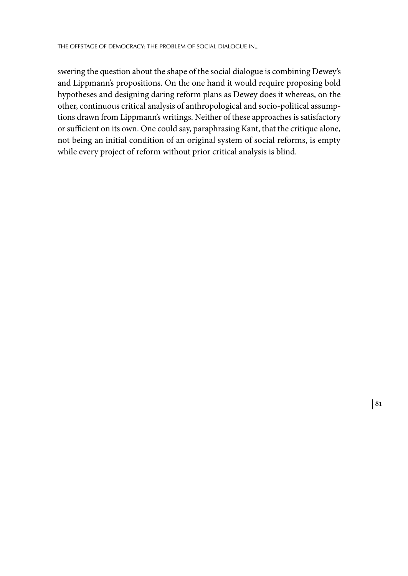swering the question about the shape of the social dialogue is combining Dewey's and Lippmann's propositions. On the one hand it would require proposing bold hypotheses and designing daring reform plans as Dewey does it whereas, on the other, continuous critical analysis of anthropological and socio-political assumptions drawn from Lippmann's writings. Neither of these approaches is satisfactory or sufficient on its own. One could say, paraphrasing Kant, that the critique alone, not being an initial condition of an original system of social reforms, is empty while every project of reform without prior critical analysis is blind.

81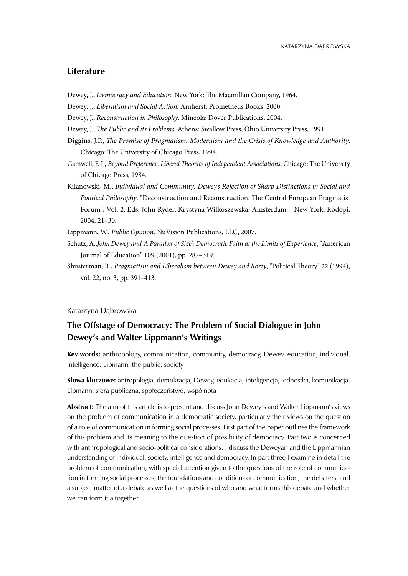### **Literature**

- Dewey, J., *Democracy and Education*. New York: The Macmillan Company, 1964.
- Dewey, J., *Liberalism and Social Action.* Amherst: Prometheus Books, 2000.
- Dewey, J., *Reconstruction in Philosophy*. Mineola: Dover Publications, 2004.
- Dewey, J., *The Public and its Problems*. Athens: Swallow Press, Ohio University Press, 1991.
- Diggins, J.P., *The Promise of Pragmatism: Modernism and the Crisis of Knowledge and Authority*. Chicago: The University of Chicago Press, 1994.
- Gamwell, F. I., *Beyond Preference. Liberal Theories of Independent Associations*. Chicago: The University of Chicago Press, 1984.
- Kilanowski, M., *Individual and Community: Dewey's Rejection of Sharp Distinctions in Social and Political Philosophy*. "Deconstruction and Reconstruction. The Central European Pragmatist Forum"*,* Vol. 2. Eds. John Ryder, Krystyna Wilkoszewska. Amsterdam – New York: Rodopi, 2004. 21–30.

Lippmann, W., *Public Opinion.* NuVision Publications, LLC, 2007.

- Schutz, A.,*John Dewey and 'A Paradox of Size': Democratic Faith at the Limits of Experience*, "American Journal of Education" 109 (2001), pp. 287–319.
- Shusterman, R., *Pragmatism and Liberalism between Dewey and Rorty*, "Political Theory" 22 (1994), vol. 22, no. 3, pp. 391–413.

#### Katarzyna Dąbrowska

## **The Offstage of Democracy: The Problem of Social Dialogue in John Dewey's and Walter Lippmann's Writings**

**Key words:** anthropology, communication, community, democracy, Dewey, education, individual, intelligence, Lipmann, the public, society

**Słowa kluczowe:** antropologia, demokracja, Dewey, edukacja, inteligencja, jednostka, komunikacja, Lipmann, sfera publiczna, społeczeństwo, wspólnota

**Abstract:** The aim of this article is to present and discuss John Dewey's and Walter Lippmann's views on the problem of communication in a democratic society, particularly their views on the question of a role of communication in forming social processes. First part of the paper outlines the framework of this problem and its meaning to the question of possibility of democracy. Part two is concerned with anthropological and socio-political considerations: I discuss the Deweyan and the Lippmannian understanding of individual, society, intelligence and democracy. In part three I examine in detail the problem of communication, with special attention given to the questions of the role of communication in forming social processes, the foundations and conditions of communication, the debaters, and a subject matter of a debate as well as the questions of who and what forms this debate and whether we can form it altogether.